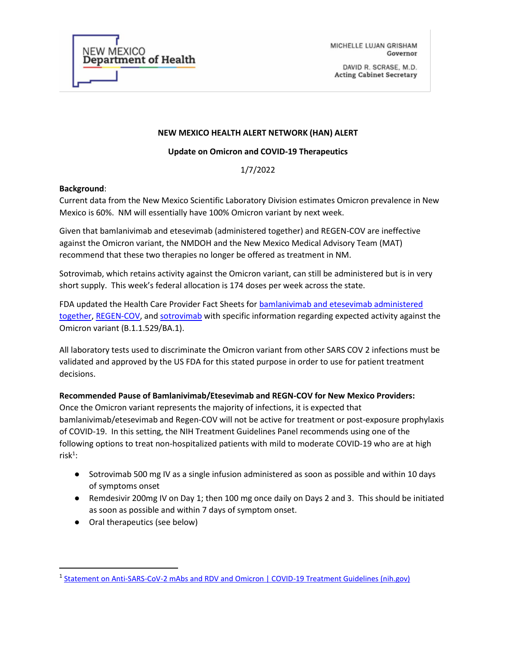

MICHELLE LUJAN GRISHAM Governor

DAVID R. SCRASE, M.D. **Acting Cabinet Secretary** 

### **NEW MEXICO HEALTH ALERT NETWORK (HAN) ALERT**

### **Update on Omicron and COVID-19 Therapeutics**

1/7/2022

#### **Background**:

Current data from the New Mexico Scientific Laboratory Division estimates Omicron prevalence in New Mexico is 60%. NM will essentially have 100% Omicron variant by next week.

Given that bamlanivimab and etesevimab (administered together) and REGEN-COV are ineffective against the Omicron variant, the NMDOH and the New Mexico Medical Advisory Team (MAT) recommend that these two therapies no longer be offered as treatment in NM.

Sotrovimab, which retains activity against the Omicron variant, can still be administered but is in very short supply. This week's federal allocation is 174 doses per week across the state.

FDA updated the Health Care Provider Fact Sheets for bamlanivimab and etesevimab administered [together,](https://gcc02.safelinks.protection.outlook.com/?url=https%3A%2F%2Fwww.fda.gov%2Fmedia%2F145802%2Fdownload&data=04%7C01%7Cchristine.ross%40state.nm.us%7C5582700784c34db645fa08d9c6224b31%7C04aa6bf4d436426fbfa404b7a70e60ff%7C0%7C0%7C637758672987352740%7CUnknown%7CTWFpbGZsb3d8eyJWIjoiMC4wLjAwMDAiLCJQIjoiV2luMzIiLCJBTiI6Ik1haWwiLCJXVCI6Mn0%3D%7C2000&sdata=rHQLG7J02ataBK82IWUJQEo9qOzdmBtP5o9aQRMJU%2F0%3D&reserved=0) [REGEN-COV,](https://gcc02.safelinks.protection.outlook.com/?url=https%3A%2F%2Fwww.fda.gov%2Fmedia%2F145611%2Fdownload&data=04%7C01%7Cchristine.ross%40state.nm.us%7C5582700784c34db645fa08d9c6224b31%7C04aa6bf4d436426fbfa404b7a70e60ff%7C0%7C0%7C637758672987352740%7CUnknown%7CTWFpbGZsb3d8eyJWIjoiMC4wLjAwMDAiLCJQIjoiV2luMzIiLCJBTiI6Ik1haWwiLCJXVCI6Mn0%3D%7C2000&sdata=orZydOkQXcfPD4RRh1fUXpkSu1V%2Fu4G6whuyG3dTl6E%3D&reserved=0) and [sotrovimab](https://gcc02.safelinks.protection.outlook.com/?url=https%3A%2F%2Fwww.fda.gov%2Fmedia%2F149534%2Fdownload&data=04%7C01%7Cchristine.ross%40state.nm.us%7C5582700784c34db645fa08d9c6224b31%7C04aa6bf4d436426fbfa404b7a70e60ff%7C0%7C0%7C637758672987362685%7CUnknown%7CTWFpbGZsb3d8eyJWIjoiMC4wLjAwMDAiLCJQIjoiV2luMzIiLCJBTiI6Ik1haWwiLCJXVCI6Mn0%3D%7C2000&sdata=5k5bT0GoXzMWyvyTMSn34MaVXkpi82e1jn7pidYq4gE%3D&reserved=0) with specific information regarding expected activity against the Omicron variant (B.1.1.529/BA.1).

All laboratory tests used to discriminate the Omicron variant from other SARS COV 2 infections must be validated and approved by the US FDA for this stated purpose in order to use for patient treatment decisions.

**Recommended Pause of Bamlanivimab/Etesevimab and REGN-COV for New Mexico Providers:**

Once the Omicron variant represents the majority of infections, it is expected that bamlanivimab/etesevimab and Regen-COV will not be active for treatment or post-exposure prophylaxis of COVID-19. In this setting, the NIH Treatment Guidelines Panel recommends using one of the following options to treat non-hospitalized patients with mild to moderate COVID-19 who are at high risk $^1$ :

- Sotrovimab 500 mg IV as a single infusion administered as soon as possible and within 10 days of symptoms onset
- Remdesivir 200mg IV on Day 1; then 100 mg once daily on Days 2 and 3. This should be initiated as soon as possible and within 7 days of symptom onset.
- Oral therapeutics (see below)

<sup>&</sup>lt;sup>1</sup> [Statement on Anti-SARS-CoV-2 mAbs and RDV and Omicron | COVID-19 Treatment Guidelines \(nih.gov\)](https://www.covid19treatmentguidelines.nih.gov/therapies/statement-on-anti-sars-cov-2-mabs-and-rdv-and-omicron/)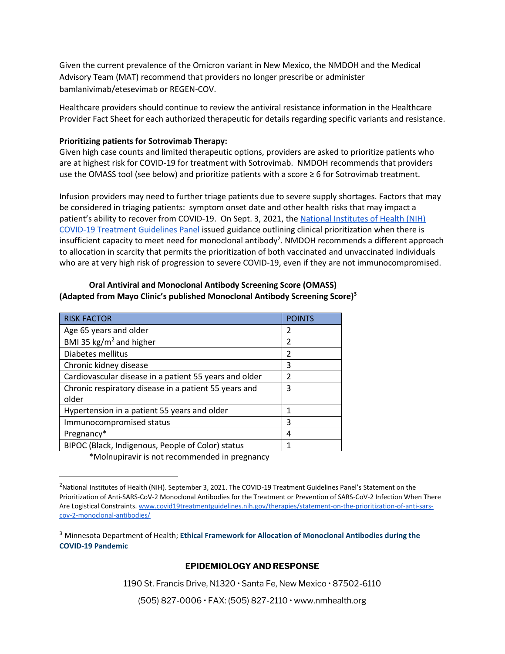Given the current prevalence of the Omicron variant in New Mexico, the NMDOH and the Medical Advisory Team (MAT) recommend that providers no longer prescribe or administer bamlanivimab/etesevimab or REGEN-COV.

Healthcare providers should continue to review the antiviral resistance information in the Healthcare Provider Fact Sheet for each authorized therapeutic for details regarding specific variants and resistance.

### **Prioritizing patients for Sotrovimab Therapy:**

Given high case counts and limited therapeutic options, providers are asked to prioritize patients who are at highest risk for COVID-19 for treatment with Sotrovimab. NMDOH recommends that providers use the OMASS tool (see below) and prioritize patients with a score ≥ 6 for Sotrovimab treatment.

Infusion providers may need to further triage patients due to severe supply shortages. Factors that may be considered in triaging patients: symptom onset date and other health risks that may impact a patient's ability to recover from COVID-19. On Sept. 3, 2021, the [National Institutes of Health \(NIH\)](https://www.covid19treatmentguidelines.nih.gov/therapies/statement-on-patient-prioritization-for-outpatient-therapies/)  [COVID-19 Treatment Guidelines Panel](https://www.covid19treatmentguidelines.nih.gov/therapies/statement-on-patient-prioritization-for-outpatient-therapies/) issued guidance outlining clinical prioritization when there is insufficient capacity to meet need for monoclonal antibody<sup>2</sup>. NMDOH recommends a different approach to allocation in scarcity that permits the prioritization of both vaccinated and unvaccinated individuals who are at very high risk of progression to severe COVID-19, even if they are not immunocompromised.

# **Oral Antiviral and Monoclonal Antibody Screening Score (OMASS) (Adapted from Mayo Clinic's published Monoclonal Antibody Screening Score)<sup>3</sup>**

| <b>RISK FACTOR</b>                                     | <b>POINTS</b>  |
|--------------------------------------------------------|----------------|
| Age 65 years and older                                 | 2              |
| BMI 35 kg/m <sup>2</sup> and higher                    | $\mathcal{P}$  |
| Diabetes mellitus                                      | $\mathfrak{p}$ |
| Chronic kidney disease                                 | 3              |
| Cardiovascular disease in a patient 55 years and older | $\mathfrak{p}$ |
| Chronic respiratory disease in a patient 55 years and  | 3              |
| older                                                  |                |
| Hypertension in a patient 55 years and older           | 1              |
| Immunocompromised status                               | 3              |
| Pregnancy*                                             | 4              |
| BIPOC (Black, Indigenous, People of Color) status      |                |
|                                                        |                |

\*Molnupiravir is not recommended in pregnancy

## **EPIDEMIOLOGY AND RESPONSE**

1190 St. Francis Drive, N1320 · Santa Fe, New Mexico · 87502-6110

(505) 827-0006 • FAX: (505) 827-2110 • www.nmhealth.org

<sup>&</sup>lt;sup>2</sup>National Institutes of Health (NIH). September 3, 2021. The COVID-19 Treatment Guidelines Panel's Statement on the Prioritization of Anti-SARS-CoV-2 Monoclonal Antibodies for the Treatment or Prevention of SARS-CoV-2 Infection When There Are Logistical Constraints[. www.covid19treatmentguidelines.nih.gov/therapies/statement-on-the-prioritization-of-anti-sars](http://www.covid19treatmentguidelines.nih.gov/therapies/statement-on-the-prioritization-of-anti-sars-cov-2-monoclonal-antibodies/)[cov-2-monoclonal-antibodies/](http://www.covid19treatmentguidelines.nih.gov/therapies/statement-on-the-prioritization-of-anti-sars-cov-2-monoclonal-antibodies/)

<sup>3</sup> Minnesota Department of Health; **Ethical Framework for Allocation of Monoclonal Antibodies during the COVID-19 Pandemic**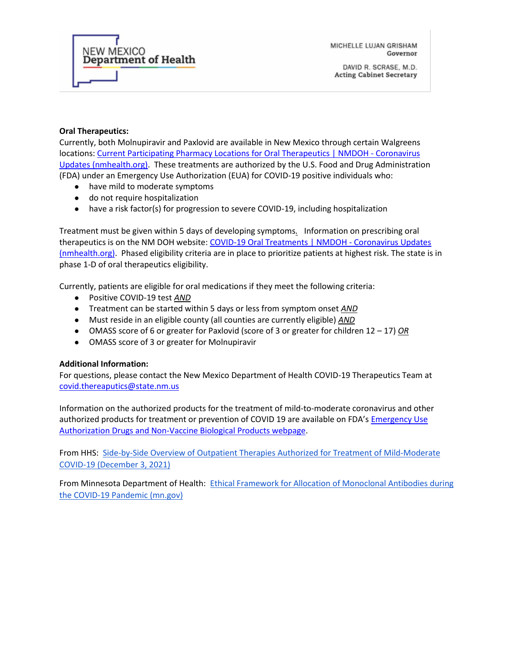

MICHELLE LUJAN GRISHAM Governor

## **Oral Therapeutics:**

Currently, both Molnupiravir and Paxlovid are available in New Mexico through certain Walgreens locations: [Current Participating Pharmacy Locations for Oral Therapeutics | NMDOH -](https://cv.nmhealth.org/current-participating-pharmacy-locations-for-oral-therapeutics/) Coronavirus [Updates \(nmhealth.org\).](https://cv.nmhealth.org/current-participating-pharmacy-locations-for-oral-therapeutics/) These treatments are authorized by the U.S. Food and Drug Administration (FDA) under an Emergency Use Authorization (EUA) for COVID-19 positive individuals who:

- have mild to moderate symptoms
- do not require hospitalization
- have a risk factor(s) for progression to severe COVID-19, including hospitalization

Treatment must be given within 5 days of developing symptoms*.* Information on prescribing oral therapeutics is on the NM DOH website[: COVID-19 Oral Treatments | NMDOH -](https://cv.nmhealth.org/covid-19-oral-treatments/) Coronavirus Updates [\(nmhealth.org\).](https://cv.nmhealth.org/covid-19-oral-treatments/) Phased eligibility criteria are in place to prioritize patients at highest risk. The state is in phase 1-D of oral therapeutics eligibility.

Currently, patients are eligible for oral medications if they meet the following criteria:

- Positive COVID-19 test *AND*
- Treatment can be started within 5 days or less from symptom onset *AND*
- Must reside in an eligible county (all counties are currently eligible) *AND*
- OMASS score of 6 or greater for Paxlovid (score of 3 or greater for children 12 17) OR
- OMASS score of 3 or greater for Molnupiravir

## **Additional Information:**

For questions, please contact the New Mexico Department of Health COVID-19 Therapeutics Team at [covid.thereaputics@state.nm.us](mailto:covid.thereaputics@state.nm.us)

Information on the authorized products for the treatment of mild-to-moderate coronavirus and other authorized products for treatment or prevention of COVID 19 are available on FDA's [Emergency Use](https://gcc02.safelinks.protection.outlook.com/?url=https%3A%2F%2Fwww.fda.gov%2Femergency-preparedness-and-response%2Fmcm-legal-regulatory-and-policy-framework%2Femergency-use-authorization%23coviddrugs&data=04%7C01%7Cchristine.ross%40state.nm.us%7C7cdb19163be645e9dbc208d9c639d3e4%7C04aa6bf4d436426fbfa404b7a70e60ff%7C0%7C0%7C637758773938477580%7CUnknown%7CTWFpbGZsb3d8eyJWIjoiMC4wLjAwMDAiLCJQIjoiV2luMzIiLCJBTiI6Ik1haWwiLCJXVCI6Mn0%3D%7C3000&sdata=V%2FZAUSbaFFAl%2F0HnNw4W7DJ%2Fbm6kCydtgy%2Bf0U3EkvE%3D&reserved=0)  [Authorization Drugs and Non-Vaccine Biological Products webpage.](https://gcc02.safelinks.protection.outlook.com/?url=https%3A%2F%2Fwww.fda.gov%2Femergency-preparedness-and-response%2Fmcm-legal-regulatory-and-policy-framework%2Femergency-use-authorization%23coviddrugs&data=04%7C01%7Cchristine.ross%40state.nm.us%7C7cdb19163be645e9dbc208d9c639d3e4%7C04aa6bf4d436426fbfa404b7a70e60ff%7C0%7C0%7C637758773938477580%7CUnknown%7CTWFpbGZsb3d8eyJWIjoiMC4wLjAwMDAiLCJQIjoiV2luMzIiLCJBTiI6Ik1haWwiLCJXVCI6Mn0%3D%7C3000&sdata=V%2FZAUSbaFFAl%2F0HnNw4W7DJ%2Fbm6kCydtgy%2Bf0U3EkvE%3D&reserved=0)

From HHS: [Side-by-Side Overview of Outpatient Therapies Authorized for Treatment of Mild-Moderate](https://www.phe.gov/emergency/events/COVID19/therapeutics/Documents/side-by-side%20-overview-mAbs-508.pdf)  [COVID-19 \(December 3, 2021\)](https://www.phe.gov/emergency/events/COVID19/therapeutics/Documents/side-by-side%20-overview-mAbs-508.pdf)

From Minnesota Department of Health: [Ethical Framework for Allocation of Monoclonal Antibodies during](https://health.mn.gov/diseases/coronavirus/hcp/mabethical.pdf)  [the COVID-19 Pandemic \(mn.gov\)](https://health.mn.gov/diseases/coronavirus/hcp/mabethical.pdf)